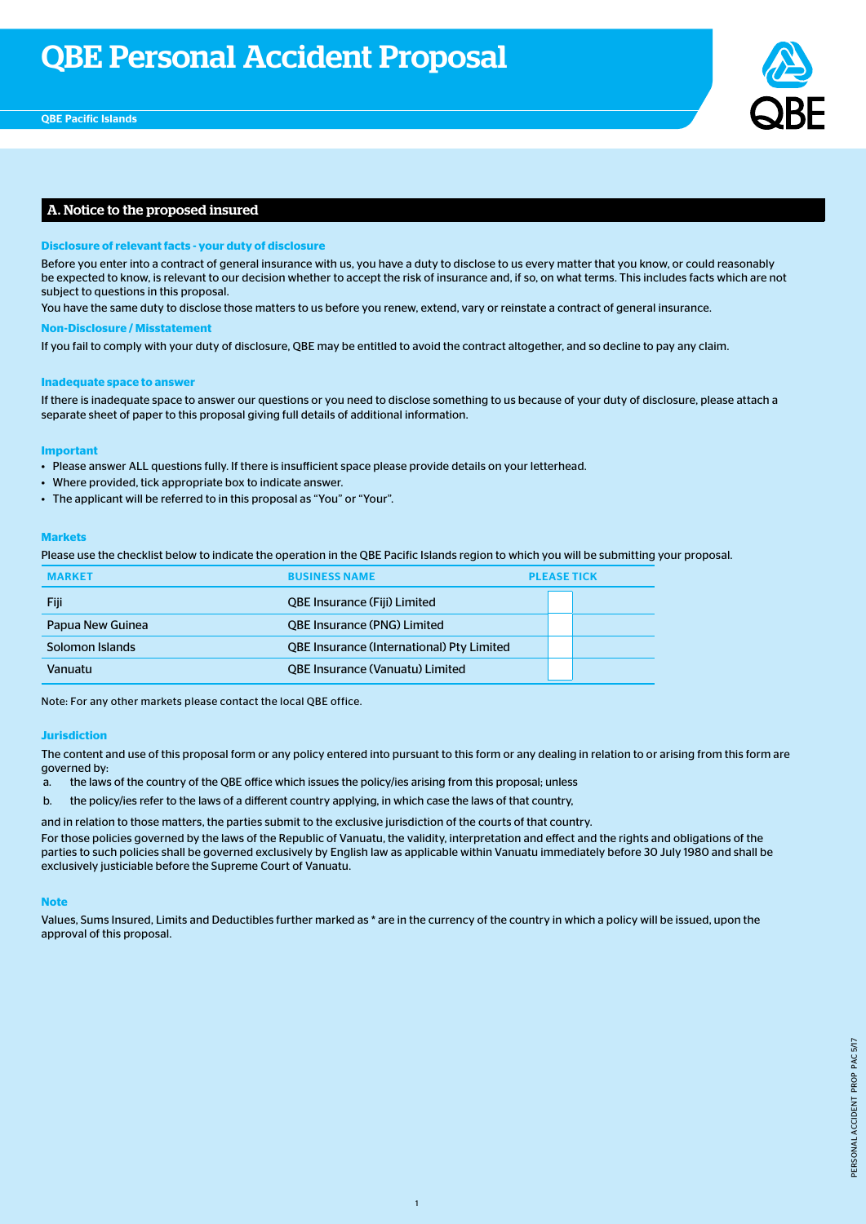

# A. Notice to the proposed insured

### **Disclosure of relevant facts - your duty of disclosure**

Before you enter into a contract of general insurance with us, you have a duty to disclose to us every matter that you know, or could reasonably be expected to know, is relevant to our decision whether to accept the risk of insurance and, if so, on what terms. This includes facts which are not subject to questions in this proposal.

You have the same duty to disclose those matters to us before you renew, extend, vary or reinstate a contract of general insurance.

#### **Non-Disclosure / Misstatement**

If you fail to comply with your duty of disclosure, QBE may be entitled to avoid the contract altogether, and so decline to pay any claim.

#### **Inadequate space to answer**

If there is inadequate space to answer our questions or you need to disclose something to us because of your duty of disclosure, please attach a separate sheet of paper to this proposal giving full details of additional information.

#### **Important**

- Please answer ALL questions fully. If there is insufficient space please provide details on your letterhead.
- Where provided, tick appropriate box to indicate answer.
- The applicant will be referred to in this proposal as "You" or "Your".

### **Markets**

Please use the checklist below to indicate the operation in the QBE Pacific Islands region to which you will be submitting your proposal.

| <b>MARKET</b>    | <b>BUSINESS NAME</b>                             | <b>PLEASE TICK</b> |  |  |  |
|------------------|--------------------------------------------------|--------------------|--|--|--|
| Fiji             | <b>QBE Insurance (Fiji) Limited</b>              |                    |  |  |  |
| Papua New Guinea | <b>QBE Insurance (PNG) Limited</b>               |                    |  |  |  |
| Solomon Islands  | <b>QBE Insurance (International) Pty Limited</b> |                    |  |  |  |
| Vanuatu          | <b>QBE Insurance (Vanuatu) Limited</b>           |                    |  |  |  |

Note: For any other markets please contact the local QBE office.

### **Jurisdiction**

The content and use of this proposal form or any policy entered into pursuant to this form or any dealing in relation to or arising from this form are governed by:

- a. the laws of the country of the QBE office which issues the policy/ies arising from this proposal; unless
- b. the policy/ies refer to the laws of a different country applying, in which case the laws of that country,

and in relation to those matters, the parties submit to the exclusive jurisdiction of the courts of that country.

For those policies governed by the laws of the Republic of Vanuatu, the validity, interpretation and effect and the rights and obligations of the parties to such policies shall be governed exclusively by English law as applicable within Vanuatu immediately before 30 July 1980 and shall be exclusively justiciable before the Supreme Court of Vanuatu.

#### **Note**

Values, Sums Insured, Limits and Deductibles further marked as \* are in the currency of the country in which a policy will be issued, upon the approval of this proposal.

1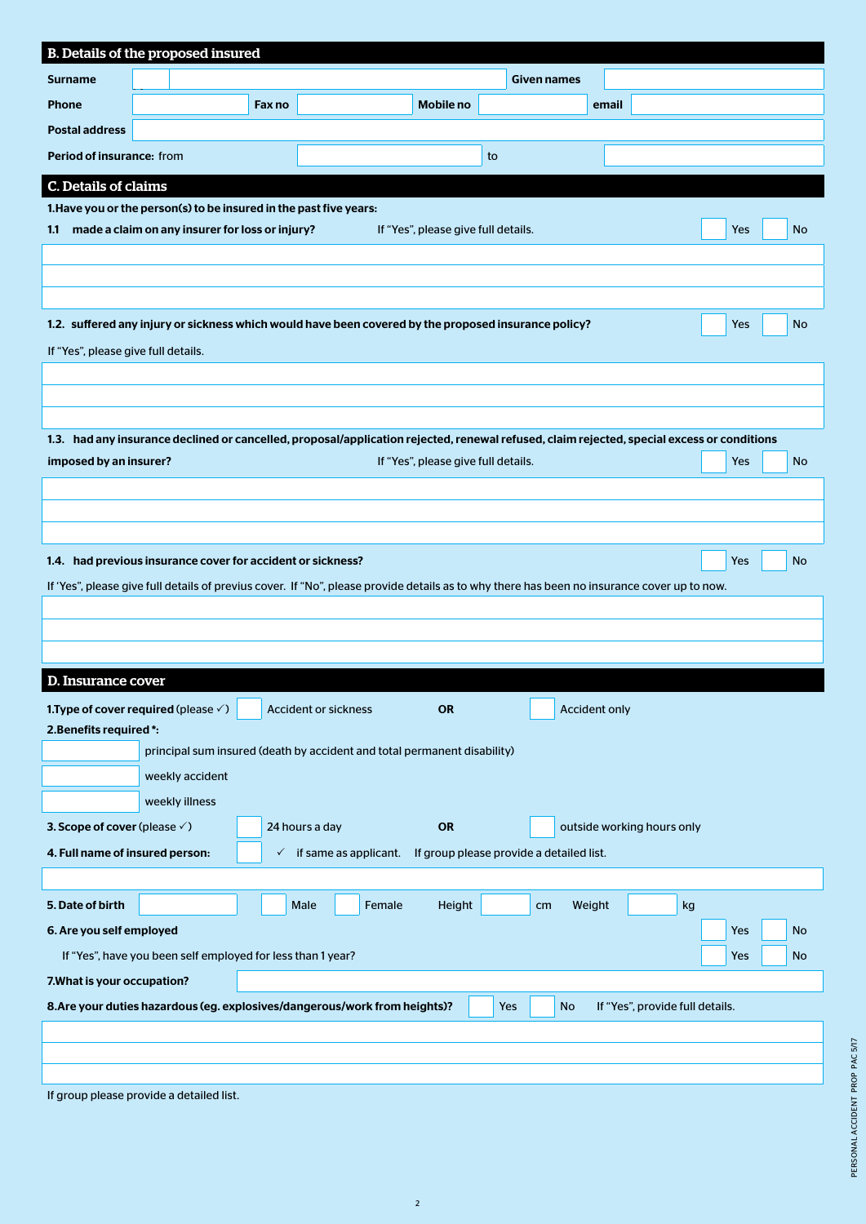|                                                                                                                                   | B. Details of the proposed insured                                                                                                          |              |                             |                                                                          |    |                                          |                            |            |           |
|-----------------------------------------------------------------------------------------------------------------------------------|---------------------------------------------------------------------------------------------------------------------------------------------|--------------|-----------------------------|--------------------------------------------------------------------------|----|------------------------------------------|----------------------------|------------|-----------|
| <b>Surname</b>                                                                                                                    |                                                                                                                                             |              |                             |                                                                          |    | <b>Given names</b>                       |                            |            |           |
| <b>Phone</b>                                                                                                                      |                                                                                                                                             | Fax no       |                             | <b>Mobile no</b>                                                         |    |                                          | email                      |            |           |
| <b>Postal address</b>                                                                                                             |                                                                                                                                             |              |                             |                                                                          |    |                                          |                            |            |           |
| Period of insurance: from                                                                                                         |                                                                                                                                             |              |                             |                                                                          | to |                                          |                            |            |           |
| C. Details of claims                                                                                                              |                                                                                                                                             |              |                             |                                                                          |    |                                          |                            |            |           |
|                                                                                                                                   | 1. Have you or the person(s) to be insured in the past five years:                                                                          |              |                             |                                                                          |    |                                          |                            |            |           |
| 1.1                                                                                                                               | made a claim on any insurer for loss or injury?                                                                                             |              |                             | If "Yes", please give full details.                                      |    |                                          |                            | Yes        | No.       |
|                                                                                                                                   |                                                                                                                                             |              |                             |                                                                          |    |                                          |                            |            |           |
|                                                                                                                                   |                                                                                                                                             |              |                             |                                                                          |    |                                          |                            |            |           |
|                                                                                                                                   |                                                                                                                                             |              |                             |                                                                          |    |                                          |                            |            |           |
|                                                                                                                                   | 1.2. suffered any injury or sickness which would have been covered by the proposed insurance policy?                                        |              |                             |                                                                          |    |                                          |                            | <b>Yes</b> | <b>No</b> |
| If "Yes", please give full details.                                                                                               |                                                                                                                                             |              |                             |                                                                          |    |                                          |                            |            |           |
|                                                                                                                                   |                                                                                                                                             |              |                             |                                                                          |    |                                          |                            |            |           |
|                                                                                                                                   |                                                                                                                                             |              |                             |                                                                          |    |                                          |                            |            |           |
|                                                                                                                                   | 1.3. had any insurance declined or cancelled, proposal/application rejected, renewal refused, claim rejected, special excess or conditions  |              |                             |                                                                          |    |                                          |                            |            |           |
| imposed by an insurer?                                                                                                            |                                                                                                                                             |              |                             | If "Yes", please give full details.                                      |    |                                          |                            | <b>Yes</b> | No        |
|                                                                                                                                   |                                                                                                                                             |              |                             |                                                                          |    |                                          |                            |            |           |
|                                                                                                                                   |                                                                                                                                             |              |                             |                                                                          |    |                                          |                            |            |           |
|                                                                                                                                   |                                                                                                                                             |              |                             |                                                                          |    |                                          |                            |            |           |
|                                                                                                                                   | 1.4. had previous insurance cover for accident or sickness?                                                                                 |              |                             |                                                                          |    |                                          |                            | Yes        | No        |
|                                                                                                                                   | If 'Yes", please give full details of previus cover. If "No", please provide details as to why there has been no insurance cover up to now. |              |                             |                                                                          |    |                                          |                            |            |           |
|                                                                                                                                   |                                                                                                                                             |              |                             |                                                                          |    |                                          |                            |            |           |
|                                                                                                                                   |                                                                                                                                             |              |                             |                                                                          |    |                                          |                            |            |           |
| <b>D. Insurance cover</b>                                                                                                         |                                                                                                                                             |              |                             |                                                                          |    |                                          |                            |            |           |
|                                                                                                                                   | 1. Type of cover required (please $\checkmark$ )                                                                                            |              | <b>Accident or sickness</b> | <b>OR</b>                                                                |    |                                          | <b>Accident only</b>       |            |           |
| 2. Benefits required *:                                                                                                           |                                                                                                                                             |              |                             |                                                                          |    |                                          |                            |            |           |
|                                                                                                                                   |                                                                                                                                             |              |                             | principal sum insured (death by accident and total permanent disability) |    |                                          |                            |            |           |
|                                                                                                                                   | weekly accident                                                                                                                             |              |                             |                                                                          |    |                                          |                            |            |           |
|                                                                                                                                   | weekly illness                                                                                                                              |              |                             |                                                                          |    |                                          |                            |            |           |
| 3. Scope of cover (please $\checkmark$ )                                                                                          |                                                                                                                                             |              | 24 hours a day              | OR                                                                       |    |                                          | outside working hours only |            |           |
| 4. Full name of insured person:                                                                                                   |                                                                                                                                             | $\checkmark$ | if same as applicant.       |                                                                          |    | If group please provide a detailed list. |                            |            |           |
|                                                                                                                                   |                                                                                                                                             |              |                             |                                                                          |    |                                          |                            |            |           |
| 5. Date of birth                                                                                                                  |                                                                                                                                             |              | Male<br>Female              | Height                                                                   |    | Weight<br>cm                             |                            | kg         |           |
| 6. Are you self employed                                                                                                          |                                                                                                                                             |              |                             |                                                                          |    |                                          |                            | <b>Yes</b> | <b>No</b> |
| If "Yes", have you been self employed for less than 1 year?<br>Yes<br>No                                                          |                                                                                                                                             |              |                             |                                                                          |    |                                          |                            |            |           |
| 7. What is your occupation?                                                                                                       |                                                                                                                                             |              |                             |                                                                          |    |                                          |                            |            |           |
| 8. Are your duties hazardous (eg. explosives/dangerous/work from heights)?<br><b>No</b><br>If "Yes", provide full details.<br>Yes |                                                                                                                                             |              |                             |                                                                          |    |                                          |                            |            |           |
|                                                                                                                                   |                                                                                                                                             |              |                             |                                                                          |    |                                          |                            |            |           |
|                                                                                                                                   |                                                                                                                                             |              |                             |                                                                          |    |                                          |                            |            |           |
|                                                                                                                                   | If group please provide a detailed list.                                                                                                    |              |                             |                                                                          |    |                                          |                            |            |           |

2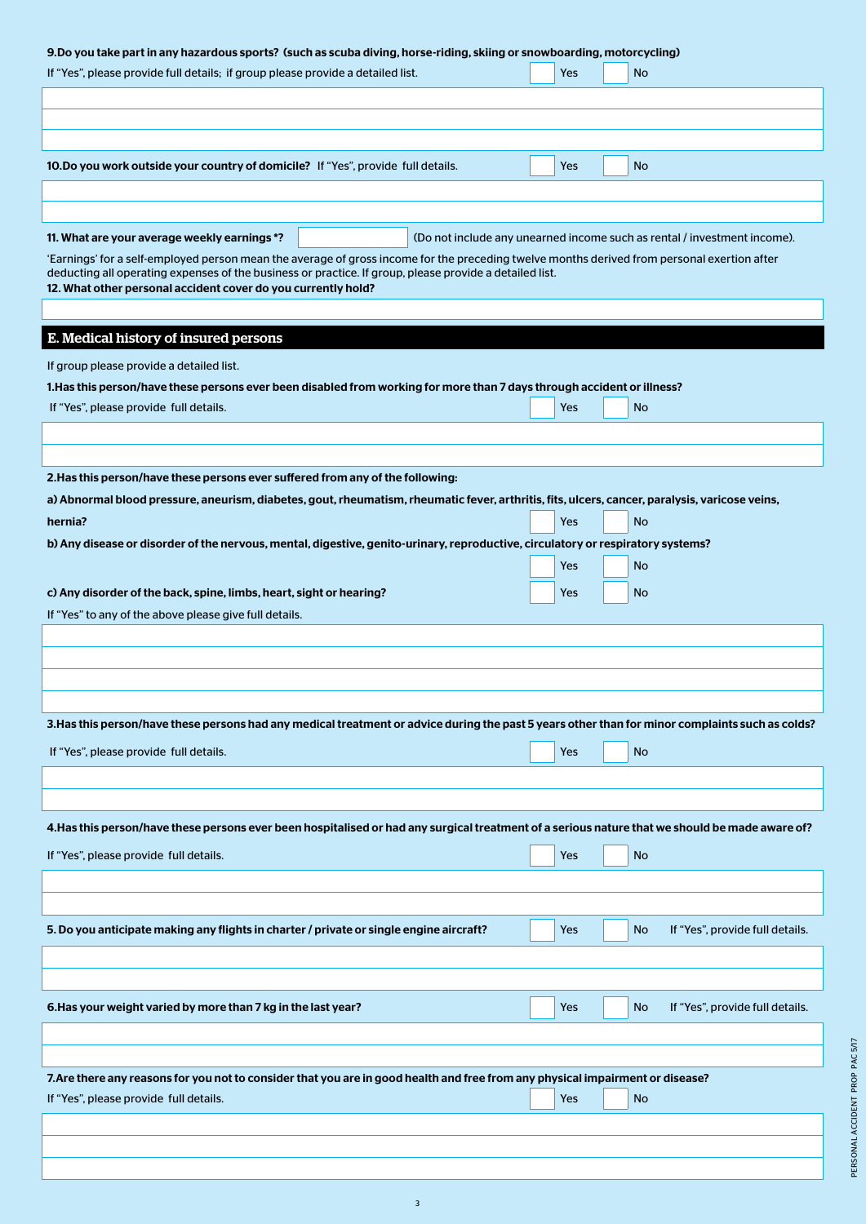# 9.Do you take part in any hazardous sports? (such as scuba diving, horse-riding, skiing or snowboarding, motorcycling)

| If "Yes", please provide full details; if group please provide a detailed list.                                                                                                             |  |  | Yes | No        |                                                                          |
|---------------------------------------------------------------------------------------------------------------------------------------------------------------------------------------------|--|--|-----|-----------|--------------------------------------------------------------------------|
|                                                                                                                                                                                             |  |  |     |           |                                                                          |
|                                                                                                                                                                                             |  |  |     |           |                                                                          |
| 10. Do you work outside your country of domicile? If "Yes", provide full details.                                                                                                           |  |  | Yes | No        |                                                                          |
|                                                                                                                                                                                             |  |  |     |           |                                                                          |
|                                                                                                                                                                                             |  |  |     |           |                                                                          |
| 11. What are your average weekly earnings *?<br>'Earnings' for a self-employed person mean the average of gross income for the preceding twelve months derived from personal exertion after |  |  |     |           | (Do not include any unearned income such as rental / investment income). |
| deducting all operating expenses of the business or practice. If group, please provide a detailed list.<br>12. What other personal accident cover do you currently hold?                    |  |  |     |           |                                                                          |
|                                                                                                                                                                                             |  |  |     |           |                                                                          |
| E. Medical history of insured persons                                                                                                                                                       |  |  |     |           |                                                                          |
| If group please provide a detailed list.                                                                                                                                                    |  |  |     |           |                                                                          |
| 1. Has this person/have these persons ever been disabled from working for more than 7 days through accident or illness?                                                                     |  |  |     |           |                                                                          |
| If "Yes", please provide full details.                                                                                                                                                      |  |  | Yes | <b>No</b> |                                                                          |
|                                                                                                                                                                                             |  |  |     |           |                                                                          |
|                                                                                                                                                                                             |  |  |     |           |                                                                          |
| 2. Has this person/have these persons ever suffered from any of the following:                                                                                                              |  |  |     |           |                                                                          |
| a) Abnormal blood pressure, aneurism, diabetes, gout, rheumatism, rheumatic fever, arthritis, fits, ulcers, cancer, paralysis, varicose veins,<br>hernia?                                   |  |  | Yes | <b>No</b> |                                                                          |
| b) Any disease or disorder of the nervous, mental, digestive, genito-urinary, reproductive, circulatory or respiratory systems?                                                             |  |  |     |           |                                                                          |
|                                                                                                                                                                                             |  |  | Yes | No        |                                                                          |
| c) Any disorder of the back, spine, limbs, heart, sight or hearing?                                                                                                                         |  |  | Yes | No        |                                                                          |
| If "Yes" to any of the above please give full details.                                                                                                                                      |  |  |     |           |                                                                          |
|                                                                                                                                                                                             |  |  |     |           |                                                                          |
|                                                                                                                                                                                             |  |  |     |           |                                                                          |
|                                                                                                                                                                                             |  |  |     |           |                                                                          |
|                                                                                                                                                                                             |  |  |     |           |                                                                          |
| 3. Has this person/have these persons had any medical treatment or advice during the past 5 years other than for minor complaints such as colds?                                            |  |  |     |           |                                                                          |
| If "Yes", please provide full details.                                                                                                                                                      |  |  | Yes | No        |                                                                          |
|                                                                                                                                                                                             |  |  |     |           |                                                                          |
|                                                                                                                                                                                             |  |  |     |           |                                                                          |
| 4. Has this person/have these persons ever been hospitalised or had any surgical treatment of a serious nature that we should be made aware of?                                             |  |  |     |           |                                                                          |
| If "Yes", please provide full details.                                                                                                                                                      |  |  | Yes | No        |                                                                          |
|                                                                                                                                                                                             |  |  |     |           |                                                                          |
|                                                                                                                                                                                             |  |  |     |           |                                                                          |
| 5. Do you anticipate making any flights in charter / private or single engine aircraft?                                                                                                     |  |  | Yes | <b>No</b> | If "Yes", provide full details.                                          |
|                                                                                                                                                                                             |  |  |     |           |                                                                          |
|                                                                                                                                                                                             |  |  |     |           |                                                                          |
| 6. Has your weight varied by more than 7 kg in the last year?                                                                                                                               |  |  | Yes | <b>No</b> | If "Yes", provide full details.                                          |
|                                                                                                                                                                                             |  |  |     |           |                                                                          |
|                                                                                                                                                                                             |  |  |     |           |                                                                          |
| 7. Are there any reasons for you not to consider that you are in good health and free from any physical impairment or disease?                                                              |  |  |     |           |                                                                          |
| If "Yes", please provide full details.                                                                                                                                                      |  |  | Yes | <b>No</b> |                                                                          |
|                                                                                                                                                                                             |  |  |     |           |                                                                          |
|                                                                                                                                                                                             |  |  |     |           |                                                                          |
|                                                                                                                                                                                             |  |  |     |           |                                                                          |

3